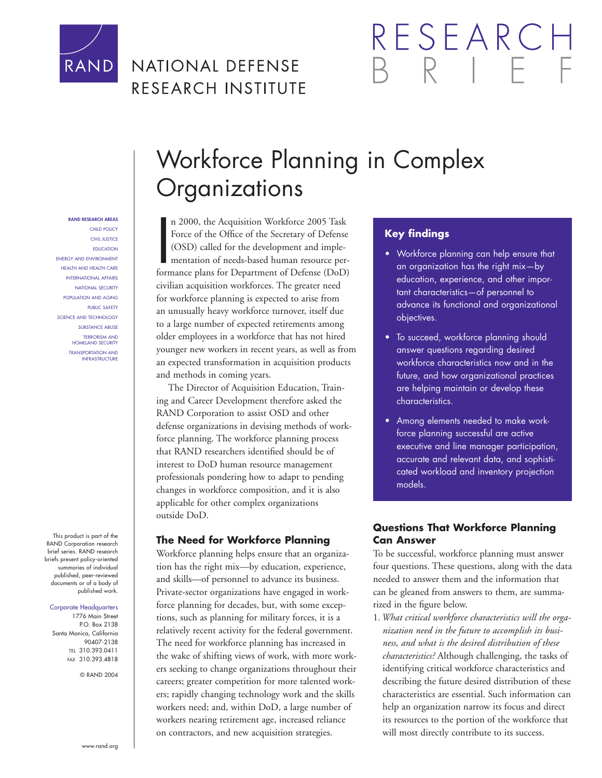

## NATIONAL DEFENSE RESEARCH INSTITUTE

# RESEARCI

# Workforce Planning in Complex **Organizations**

RAND RESEARCH AREAS CHILD POLICY CIVIL JUSTICE EDUCATION ENERGY AND ENVIRONMENT HEALTH AND HEALTH CARE INTERNATIONAL AFFAIRS NATIONAL SECURITY POPULATION AND AGING PUBLIC SAFETY SCIENCE AND TECHNOLOGY SUBSTANCE ABUSE TERRORISM AND HOMELAND SECURITY TRANSPORTATION AND INFRASTRUCTURE

This product is part of the RAND Corporation research brief series. RAND research briefs present policy-oriented summaries of individual published, peer-reviewed documents or of a body of published work.

#### Corporate Headquarters

1776 Main Street P.O. Box 2138 Santa Monica, California 90407-2138 TEL 310.393.0411 FAX 310.393.4818

© RAND 2004

n 2000, the Acquisition Workforce 2005 Task<br>Force of the Office of the Secretary of Defense<br>(OSD) called for the development and imple-<br>mentation of needs-based human resource per-<br>formance plans for Department of Defense n 2000, the Acquisition Workforce 2005 Task Force of the Office of the Secretary of Defense (OSD) called for the development and implementation of needs-based human resource percivilian acquisition workforces. The greater need for workforce planning is expected to arise from an unusually heavy workforce turnover, itself due to a large number of expected retirements among older employees in a workforce that has not hired younger new workers in recent years, as well as from an expected transformation in acquisition products and methods in coming years.

The Director of Acquisition Education, Training and Career Development therefore asked the RAND Corporation to assist OSD and other defense organizations in devising methods of workforce planning. The workforce planning process that RAND researchers identified should be of interest to DoD human resource management professionals pondering how to adapt to pending changes in workforce composition, and it is also applicable for other complex organizations outside DoD.

#### **The Need for Workforce Planning**

Workforce planning helps ensure that an organization has the right mix—by education, experience, and skills—of personnel to advance its business. Private-sector organizations have engaged in workforce planning for decades, but, with some exceptions, such as planning for military forces, it is a relatively recent activity for the federal government. The need for workforce planning has increased in the wake of shifting views of work, with more workers seeking to change organizations throughout their careers; greater competition for more talented workers; rapidly changing technology work and the skills workers need; and, within DoD, a large number of workers nearing retirement age, increased reliance on contractors, and new acquisition strategies.

#### **Key findings**

- Workforce planning can help ensure that an organization has the right mix—by education, experience, and other important characteristics—of personnel to advance its functional and organizational objectives.
- To succeed, workforce planning should answer questions regarding desired workforce characteristics now and in the future, and how organizational practices are helping maintain or develop these characteristics.
- Among elements needed to make workforce planning successful are active executive and line manager participation, accurate and relevant data, and sophisticated workload and inventory projection models.

#### **Questions That Workforce Planning Can Answer**

To be successful, workforce planning must answer four questions. These questions, along with the data needed to answer them and the information that can be gleaned from answers to them, are summarized in the figure below.

1. *What critical workforce characteristics will the organization need in the future to accomplish its business, and what is the desired distribution of these characteristics?* Although challenging, the tasks of identifying critical workforce characteristics and describing the future desired distribution of these characteristics are essential. Such information can help an organization narrow its focus and direct its resources to the portion of the workforce that will most directly contribute to its success.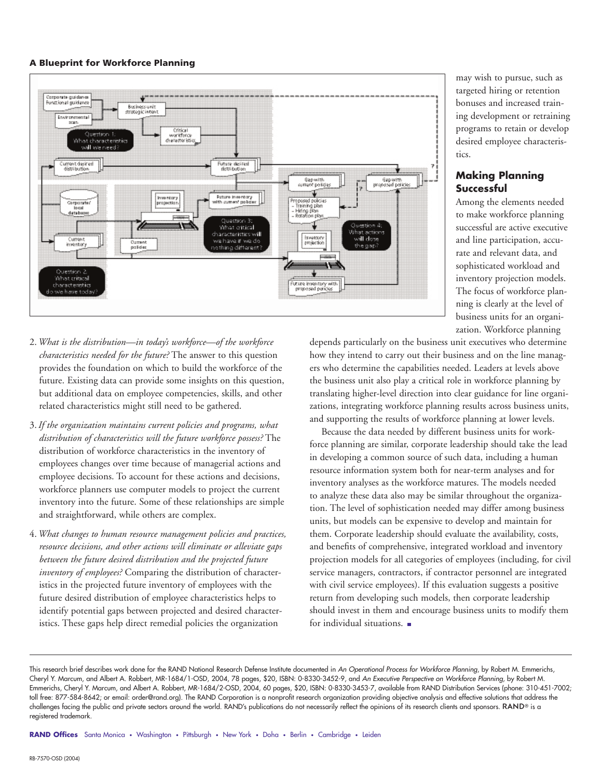#### A Blueprint for Workforce Planning



- 2. *What is the distribution—in today's workforce—of the workforce characteristics needed for the future?* The answer to this question provides the foundation on which to build the workforce of the future. Existing data can provide some insights on this question, but additional data on employee competencies, skills, and other related characteristics might still need to be gathered.
- 3. *If the organization maintains current policies and programs, what distribution of characteristics will the future workforce possess?* The distribution of workforce characteristics in the inventory of employees changes over time because of managerial actions and employee decisions. To account for these actions and decisions, workforce planners use computer models to project the current inventory into the future. Some of these relationships are simple and straightforward, while others are complex.
- 4. *What changes to human resource management policies and practices, resource decisions, and other actions will eliminate or alleviate gaps between the future desired distribution and the projected future inventory of employees?* Comparing the distribution of characteristics in the projected future inventory of employees with the future desired distribution of employee characteristics helps to identify potential gaps between projected and desired characteristics. These gaps help direct remedial policies the organization

may wish to pursue, such as targeted hiring or retention bonuses and increased training development or retraining programs to retain or develop desired employee characteristics.

#### **Making Planning Successful**

Among the elements needed to make workforce planning successful are active executive and line participation, accurate and relevant data, and sophisticated workload and inventory projection models. The focus of workforce planning is clearly at the level of business units for an organization. Workforce planning

depends particularly on the business unit executives who determine how they intend to carry out their business and on the line managers who determine the capabilities needed. Leaders at levels above the business unit also play a critical role in workforce planning by translating higher-level direction into clear guidance for line organizations, integrating workforce planning results across business units, and supporting the results of workforce planning at lower levels.

Because the data needed by different business units for workforce planning are similar, corporate leadership should take the lead in developing a common source of such data, including a human resource information system both for near-term analyses and for inventory analyses as the workforce matures. The models needed to analyze these data also may be similar throughout the organization. The level of sophistication needed may differ among business units, but models can be expensive to develop and maintain for them. Corporate leadership should evaluate the availability, costs, and benefits of comprehensive, integrated workload and inventory projection models for all categories of employees (including, for civil service managers, contractors, if contractor personnel are integrated with civil service employees). If this evaluation suggests a positive return from developing such models, then corporate leadership should invest in them and encourage business units to modify them for individual situations.

This research brief describes work done for the RAND National Research Defense Institute documented in An Operational Process for Workforce Planning, by Robert M. Emmerichs, Cheryl Y. Marcum, and Albert A. Robbert, MR-1684/1-OSD, 2004, 78 pages, \$20, ISBN: 0-8330-3452-9, and An Executive Perspective on Workforce Planning, by Robert M. Emmerichs, Cheryl Y. Marcum, and Albert A. Robbert, MR-1684/2-OSD, 2004, 60 pages, \$20, ISBN: 0-8330-3453-7, available from RAND Distribution Services (phone: 310-451-7002; toll free: 877-584-8642; or email: order@rand.org). The RAND Corporation is a nonprofit research organization providing objective analysis and effective solutions that address the challenges facing the public and private sectors around the world. RAND's publications do not necessarily reflect the opinions of its research clients and sponsors. RAND® is a registered trademark.